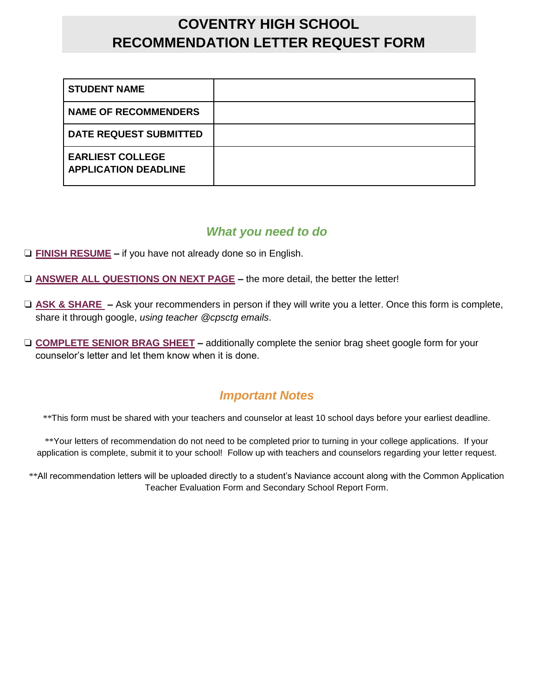## **COVENTRY HIGH SCHOOL RECOMMENDATION LETTER REQUEST FORM**

| <b>STUDENT NAME</b>                                    |  |
|--------------------------------------------------------|--|
| <b>NAME OF RECOMMENDERS</b>                            |  |
| <b>DATE REQUEST SUBMITTED</b>                          |  |
| <b>EARLIEST COLLEGE</b><br><b>APPLICATION DEADLINE</b> |  |

## *What you need to do*

- ❏ **FINISH RESUME –** if you have not already done so in English.
- ❏ **ANSWER ALL QUESTIONS ON NEXT PAGE –** the more detail, the better the letter!
- ❏ **ASK & SHARE –** Ask your recommenders in person if they will write you a letter. Once this form is complete, share it through google, *using teacher @cpsctg emails*.
- ❏ **COMPLETE SENIOR BRAG SHEET –** additionally complete the senior brag sheet google form for your counselor's letter and let them know when it is done.

## *Important Notes*

\*\*This form must be shared with your teachers and counselor at least 10 school days before your earliest deadline.

\*\*Your letters of recommendation do not need to be completed prior to turning in your college applications. If your application is complete, submit it to your school! Follow up with teachers and counselors regarding your letter request.

\*\*All recommendation letters will be uploaded directly to a student's Naviance account along with the Common Application Teacher Evaluation Form and Secondary School Report Form.